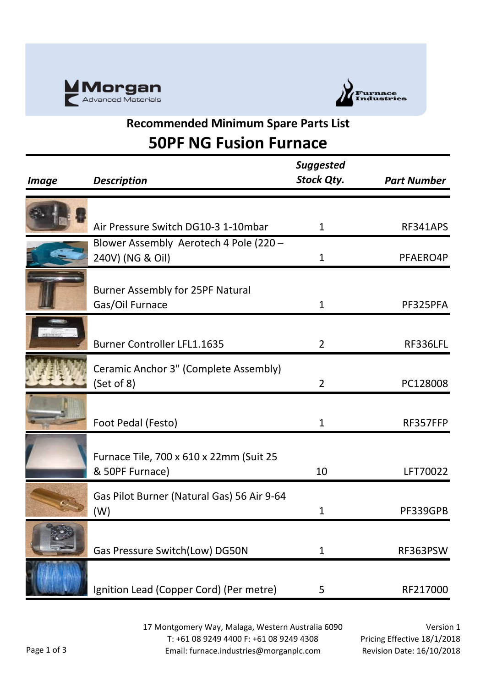



#### **Recommended Minimum Spare Parts List 50PF NG Fusion Furnace**

| <b>Image</b> | <b>Description</b>                                         | <b>Suggested</b><br><b>Stock Qty.</b> | <b>Part Number</b> |
|--------------|------------------------------------------------------------|---------------------------------------|--------------------|
|              |                                                            |                                       |                    |
|              | Air Pressure Switch DG10-3 1-10mbar                        | $\mathbf{1}$                          | RF341APS           |
|              | Blower Assembly Aerotech 4 Pole (220 -<br>240V) (NG & Oil) | $\mathbf{1}$                          | PFAERO4P           |
|              | <b>Burner Assembly for 25PF Natural</b><br>Gas/Oil Furnace | $\mathbf{1}$                          | PF325PFA           |
|              | <b>Burner Controller LFL1.1635</b>                         | $\overline{2}$                        | RF336LFL           |
|              | Ceramic Anchor 3" (Complete Assembly)<br>(Set of 8)        | $\overline{2}$                        | PC128008           |
|              | Foot Pedal (Festo)                                         | 1                                     | RF357FFP           |
|              | Furnace Tile, 700 x 610 x 22mm (Suit 25<br>& 50PF Furnace) | 10                                    | LFT70022           |
|              | Gas Pilot Burner (Natural Gas) 56 Air 9-64<br>(W)          | 1                                     | PF339GPB           |
|              | Gas Pressure Switch(Low) DG50N                             | 1                                     | RF363PSW           |
|              | Ignition Lead (Copper Cord) (Per metre)                    | 5                                     | RF217000           |

17 Montgomery Way, Malaga, Western Australia 6090 T: +61 08 9249 4400 F: +61 08 9249 4308 Email: furnace.industries@morganplc.com

Version 1 Pricing Effective 18/1/2018 Revision Date: 16/10/2018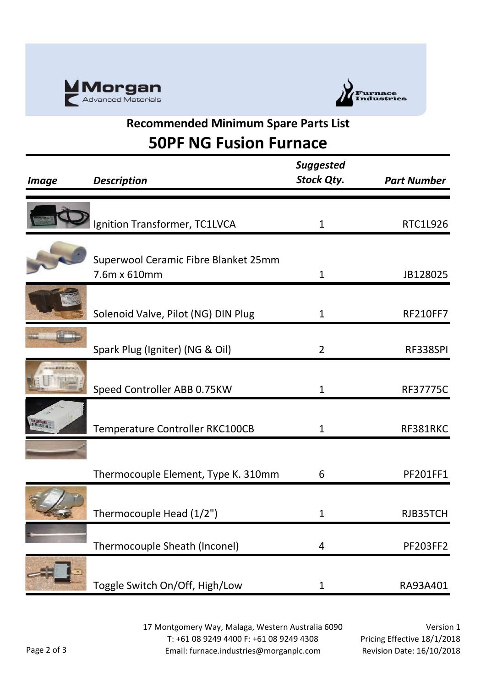



#### **Recommended Minimum Spare Parts List 50PF NG Fusion Furnace**

| <i><b>Image</b></i>  | <b>Description</b>                                   | <b>Suggested</b><br><b>Stock Qty.</b> | <b>Part Number</b> |
|----------------------|------------------------------------------------------|---------------------------------------|--------------------|
|                      |                                                      |                                       |                    |
|                      | Ignition Transformer, TC1LVCA                        | 1                                     | RTC1L926           |
|                      | Superwool Ceramic Fibre Blanket 25mm<br>7.6m x 610mm | $\mathbf{1}$                          | JB128025           |
|                      |                                                      |                                       |                    |
|                      | Solenoid Valve, Pilot (NG) DIN Plug                  | 1                                     | <b>RF210FF7</b>    |
|                      |                                                      |                                       |                    |
|                      | Spark Plug (Igniter) (NG & Oil)                      | $\overline{2}$                        | RF338SPI           |
| <b>ATTENTIONANCO</b> |                                                      |                                       |                    |
|                      | Speed Controller ABB 0.75KW                          | $\mathbf{1}$                          | <b>RF37775C</b>    |
| anasını<br>Birikalar | Temperature Controller RKC100CB                      | 1                                     | RF381RKC           |
|                      |                                                      |                                       |                    |
|                      |                                                      |                                       |                    |
|                      | Thermocouple Element, Type K. 310mm                  | 6                                     | PF201FF1           |
|                      |                                                      |                                       |                    |
|                      | Thermocouple Head (1/2")                             | 1                                     | RJB35TCH           |
|                      |                                                      |                                       |                    |
|                      | Thermocouple Sheath (Inconel)                        | 4                                     | <b>PF203FF2</b>    |
|                      | Toggle Switch On/Off, High/Low                       | $\mathbf{1}$                          | RA93A401           |

17 Montgomery Way, Malaga, Western Australia 6090 T: +61 08 9249 4400 F: +61 08 9249 4308 Email: furnace.industries@morganplc.com

Version 1 Pricing Effective 18/1/2018 Revision Date: 16/10/2018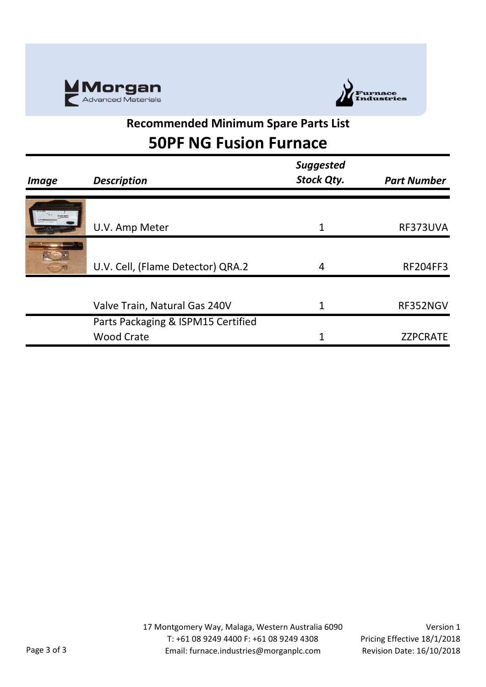



#### **Recommended Minimum Spare Parts List 50PF NG Fusion Furnace**

|              |                                    | <b>Suggested</b> |                    |
|--------------|------------------------------------|------------------|--------------------|
| <i>Image</i> | <b>Description</b>                 | Stock Qty.       | <b>Part Number</b> |
|              |                                    |                  |                    |
|              | U.V. Amp Meter                     |                  | RF373UVA           |
|              |                                    |                  |                    |
|              | U.V. Cell, (Flame Detector) QRA.2  | 4                | <b>RF204FF3</b>    |
|              |                                    |                  |                    |
|              | Valve Train, Natural Gas 240V      |                  | RF352NGV           |
|              | Parts Packaging & ISPM15 Certified |                  |                    |
|              | <b>Wood Crate</b>                  |                  | <b>ZZPCRATE</b>    |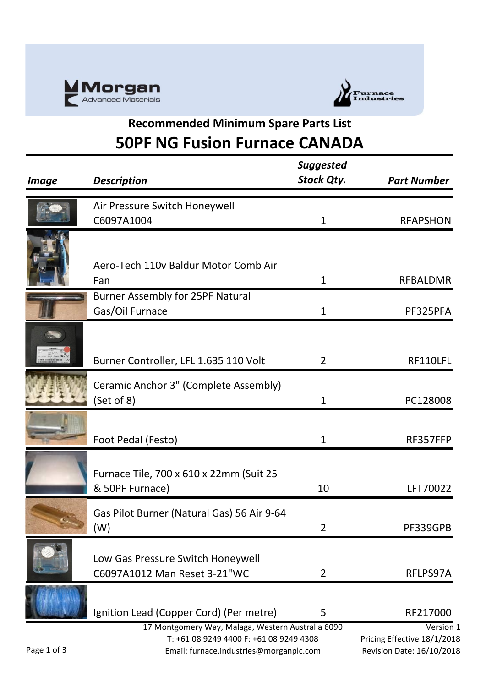



# **Recommended Minimum Spare Parts List 50PF NG Fusion Furnace CANADA**

| <b>Image</b> | <b>Description</b>                                                                 | <b>Suggested</b><br><b>Stock Qty.</b> | <b>Part Number</b>                                       |
|--------------|------------------------------------------------------------------------------------|---------------------------------------|----------------------------------------------------------|
|              | Air Pressure Switch Honeywell                                                      |                                       |                                                          |
|              | C6097A1004                                                                         | 1                                     | <b>RFAPSHON</b>                                          |
|              | Aero-Tech 110v Baldur Motor Comb Air<br>Fan                                        | 1                                     | <b>RFBALDMR</b>                                          |
|              | <b>Burner Assembly for 25PF Natural</b>                                            |                                       |                                                          |
|              | Gas/Oil Furnace                                                                    | 1                                     | PF325PFA                                                 |
|              | Burner Controller, LFL 1.635 110 Volt                                              | 2                                     | RF110LFL                                                 |
|              | Ceramic Anchor 3" (Complete Assembly)<br>(Set of 8)                                | $\mathbf{1}$                          | PC128008                                                 |
|              | Foot Pedal (Festo)                                                                 | $\mathbf 1$                           | RF357FFP                                                 |
|              | Furnace Tile, 700 x 610 x 22mm (Suit 25<br>& 50PF Furnace)                         | 10                                    | LFT70022                                                 |
|              | Gas Pilot Burner (Natural Gas) 56 Air 9-64<br>(W)                                  | $\overline{2}$                        | PF339GPB                                                 |
|              | Low Gas Pressure Switch Honeywell<br>C6097A1012 Man Reset 3-21"WC                  | 2                                     | RFLPS97A                                                 |
|              | Ignition Lead (Copper Cord) (Per metre)                                            | 5                                     | RF217000                                                 |
|              | 17 Montgomery Way, Malaga, Western Australia 6090                                  |                                       | Version 1                                                |
| Page 1 of 3  | T: +61 08 9249 4400 F: +61 08 9249 4308<br>Email: furnace.industries@morganplc.com |                                       | Pricing Effective 18/1/2018<br>Revision Date: 16/10/2018 |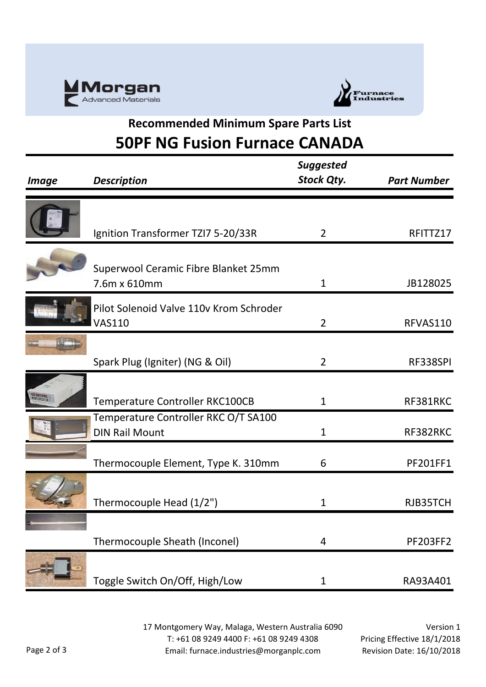



# **Recommended Minimum Spare Parts List 50PF NG Fusion Furnace CANADA**

| <i><b>Image</b></i> | <b>Description</b>                                            | <b>Suggested</b><br><b>Stock Qty.</b> | <b>Part Number</b> |
|---------------------|---------------------------------------------------------------|---------------------------------------|--------------------|
|                     |                                                               |                                       |                    |
|                     | Ignition Transformer TZI7 5-20/33R                            | $\overline{2}$                        | RFITTZ17           |
|                     | Superwool Ceramic Fibre Blanket 25mm<br>7.6m x 610mm          | $\mathbf{1}$                          | JB128025           |
|                     | Pilot Solenoid Valve 110v Krom Schroder<br><b>VAS110</b>      | $\overline{2}$                        | RFVAS110           |
|                     | Spark Plug (Igniter) (NG & Oil)                               | $\overline{2}$                        | RF338SPI           |
|                     | Temperature Controller RKC100CB                               | $\mathbf{1}$                          | RF381RKC           |
|                     | Temperature Controller RKC O/T SA100<br><b>DIN Rail Mount</b> | 1                                     | RF382RKC           |
|                     | Thermocouple Element, Type K. 310mm                           | 6                                     | PF201FF1           |
|                     | Thermocouple Head (1/2")                                      | 1                                     | RJB35TCH           |
|                     | Thermocouple Sheath (Inconel)                                 | 4                                     | <b>PF203FF2</b>    |
|                     | Toggle Switch On/Off, High/Low                                | 1                                     | RA93A401           |

17 Montgomery Way, Malaga, Western Australia 6090 T: +61 08 9249 4400 F: +61 08 9249 4308 Email: furnace.industries@morganplc.com

Version 1 Pricing Effective 18/1/2018 Revision Date: 16/10/2018